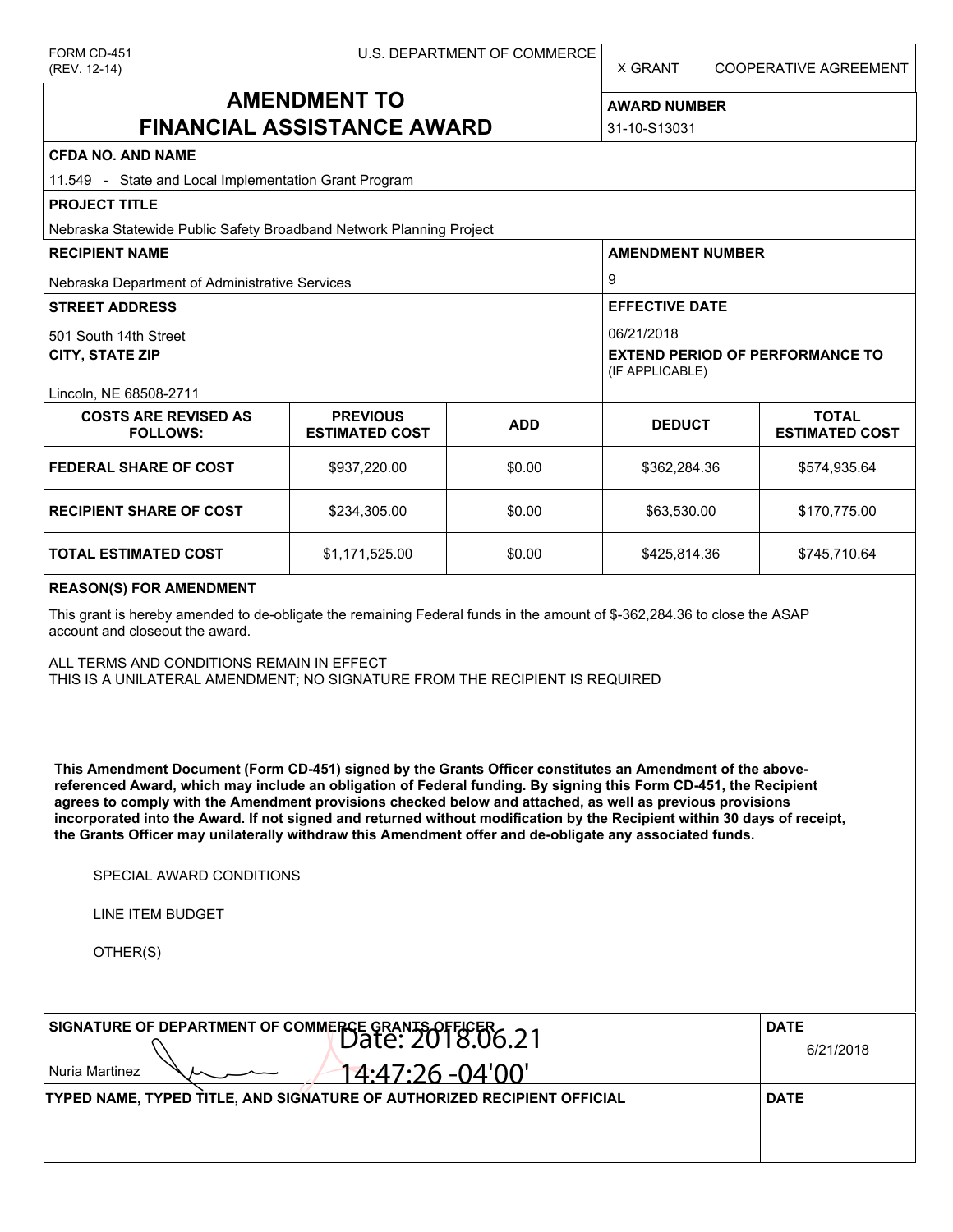X GRANT COOPERATIVE AGREEMENT

# **AMENDMENT TO FINANCIAL ASSISTANCE AWARD**

**AWARD NUMBER** 31-10-S13031

| <b>CFDA NO. AND NAME</b>                                                                                                                                                                                                                                                                                                                                                                                                                                                                                                                                                          |                                          |            |                                                           |                                       |  |  |  |
|-----------------------------------------------------------------------------------------------------------------------------------------------------------------------------------------------------------------------------------------------------------------------------------------------------------------------------------------------------------------------------------------------------------------------------------------------------------------------------------------------------------------------------------------------------------------------------------|------------------------------------------|------------|-----------------------------------------------------------|---------------------------------------|--|--|--|
| 11.549 - State and Local Implementation Grant Program                                                                                                                                                                                                                                                                                                                                                                                                                                                                                                                             |                                          |            |                                                           |                                       |  |  |  |
| <b>PROJECT TITLE</b>                                                                                                                                                                                                                                                                                                                                                                                                                                                                                                                                                              |                                          |            |                                                           |                                       |  |  |  |
| Nebraska Statewide Public Safety Broadband Network Planning Project                                                                                                                                                                                                                                                                                                                                                                                                                                                                                                               |                                          |            |                                                           |                                       |  |  |  |
| <b>RECIPIENT NAME</b>                                                                                                                                                                                                                                                                                                                                                                                                                                                                                                                                                             |                                          |            | <b>AMENDMENT NUMBER</b><br>9                              |                                       |  |  |  |
| Nebraska Department of Administrative Services                                                                                                                                                                                                                                                                                                                                                                                                                                                                                                                                    |                                          |            |                                                           |                                       |  |  |  |
| <b>STREET ADDRESS</b>                                                                                                                                                                                                                                                                                                                                                                                                                                                                                                                                                             |                                          |            | <b>EFFECTIVE DATE</b>                                     |                                       |  |  |  |
| 501 South 14th Street                                                                                                                                                                                                                                                                                                                                                                                                                                                                                                                                                             |                                          |            | 06/21/2018                                                |                                       |  |  |  |
| <b>CITY, STATE ZIP</b>                                                                                                                                                                                                                                                                                                                                                                                                                                                                                                                                                            |                                          |            | <b>EXTEND PERIOD OF PERFORMANCE TO</b><br>(IF APPLICABLE) |                                       |  |  |  |
| Lincoln, NE 68508-2711                                                                                                                                                                                                                                                                                                                                                                                                                                                                                                                                                            |                                          |            |                                                           |                                       |  |  |  |
| <b>COSTS ARE REVISED AS</b><br><b>FOLLOWS:</b>                                                                                                                                                                                                                                                                                                                                                                                                                                                                                                                                    | <b>PREVIOUS</b><br><b>ESTIMATED COST</b> | <b>ADD</b> | <b>DEDUCT</b>                                             | <b>TOTAL</b><br><b>ESTIMATED COST</b> |  |  |  |
| <b>FEDERAL SHARE OF COST</b>                                                                                                                                                                                                                                                                                                                                                                                                                                                                                                                                                      | \$937,220.00                             | \$0.00     | \$362,284.36                                              | \$574,935.64                          |  |  |  |
| <b>RECIPIENT SHARE OF COST</b>                                                                                                                                                                                                                                                                                                                                                                                                                                                                                                                                                    | \$234,305.00                             | \$0.00     | \$63,530.00                                               | \$170,775.00                          |  |  |  |
| TOTAL ESTIMATED COST                                                                                                                                                                                                                                                                                                                                                                                                                                                                                                                                                              | \$1,171,525.00                           | \$0.00     | \$425,814.36                                              | \$745,710.64                          |  |  |  |
| <b>REASON(S) FOR AMENDMENT</b>                                                                                                                                                                                                                                                                                                                                                                                                                                                                                                                                                    |                                          |            |                                                           |                                       |  |  |  |
| This grant is hereby amended to de-obligate the remaining Federal funds in the amount of \$-362,284.36 to close the ASAP<br>account and closeout the award.                                                                                                                                                                                                                                                                                                                                                                                                                       |                                          |            |                                                           |                                       |  |  |  |
| ALL TERMS AND CONDITIONS REMAIN IN EFFECT<br>THIS IS A UNILATERAL AMENDMENT; NO SIGNATURE FROM THE RECIPIENT IS REQUIRED                                                                                                                                                                                                                                                                                                                                                                                                                                                          |                                          |            |                                                           |                                       |  |  |  |
| This Amendment Document (Form CD-451) signed by the Grants Officer constitutes an Amendment of the above-<br>referenced Award, which may include an obligation of Federal funding. By signing this Form CD-451, the Recipient<br>agrees to comply with the Amendment provisions checked below and attached, as well as previous provisions<br>incorporated into the Award. If not signed and returned without modification by the Recipient within 30 days of receipt,<br>the Grants Officer may unilaterally withdraw this Amendment offer and de-obligate any associated funds. |                                          |            |                                                           |                                       |  |  |  |
| SPECIAL AWARD CONDITIONS                                                                                                                                                                                                                                                                                                                                                                                                                                                                                                                                                          |                                          |            |                                                           |                                       |  |  |  |
| LINE ITEM BUDGET                                                                                                                                                                                                                                                                                                                                                                                                                                                                                                                                                                  |                                          |            |                                                           |                                       |  |  |  |
| OTHER(S)                                                                                                                                                                                                                                                                                                                                                                                                                                                                                                                                                                          |                                          |            |                                                           |                                       |  |  |  |
|                                                                                                                                                                                                                                                                                                                                                                                                                                                                                                                                                                                   |                                          |            |                                                           |                                       |  |  |  |
| SIGNATURE OF DEPARTMENT OF COMMERCE GRANTS OFFICER 6.21                                                                                                                                                                                                                                                                                                                                                                                                                                                                                                                           | <b>DATE</b><br>6/21/2018                 |            |                                                           |                                       |  |  |  |
| Nuria Martinez                                                                                                                                                                                                                                                                                                                                                                                                                                                                                                                                                                    |                                          |            |                                                           |                                       |  |  |  |
| TYPED NAME, TYPED TITLE, AND SIGNATURE OF AUTHORIZED RECIPIENT OFFICIAL                                                                                                                                                                                                                                                                                                                                                                                                                                                                                                           |                                          |            |                                                           | <b>DATE</b>                           |  |  |  |